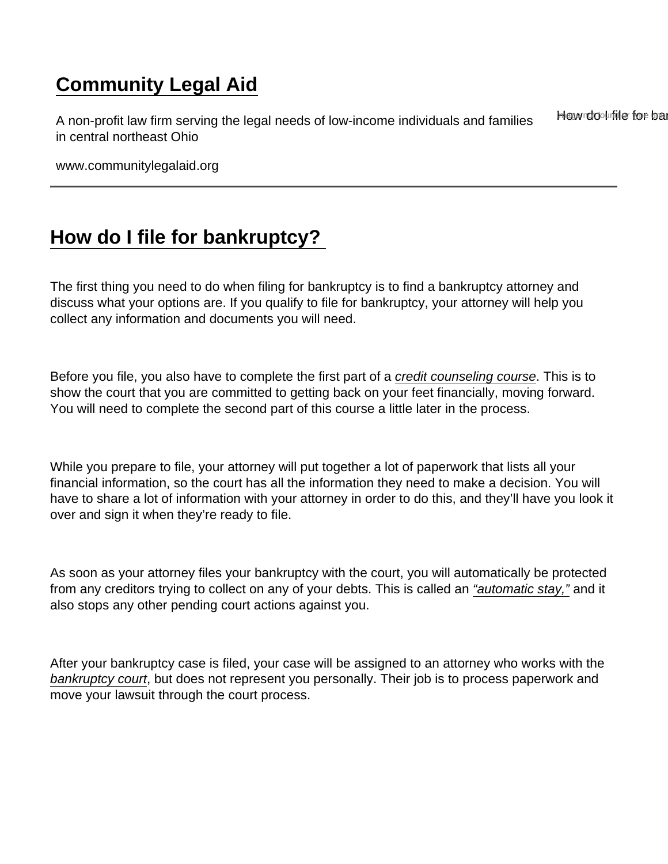## [Community Legal Aid](https://www.communitylegalaid.org/)

A non-profit law firm serving the legal needs of low-income individuals and families in central northeast Ohio **Hew do I file for ban** 

www.communitylegalaid.org

## [How do I file for bankruptcy?](https://www.communitylegalaid.org/node/1356/how-do-i-file-bankruptcy)

The first thing you need to do when filing for bankruptcy is to find a bankruptcy attorney and discuss what your options are. If you qualify to file for bankruptcy, your attorney will help you collect any information and documents you will need.

Before you file, you also have to complete the first part of a [credit counseling course.](https://www.communitylegalaid.org/node/1350/bankruptcy-glossary-terms) This is to show the court that you are committed to getting back on your feet financially, moving forward. You will need to complete the second part of this course a little later in the process.

While you prepare to file, your attorney will put together a lot of paperwork that lists all your financial information, so the court has all the information they need to make a decision. You will have to share a lot of information with your attorney in order to do this, and they'll have you look it over and sign it when they're ready to file.

As soon as your attorney files your bankruptcy with the court, you will automatically be protected from any creditors trying to collect on any of your debts. This is called an ["automatic stay,"](https://www.communitylegalaid.org/node/1350/bankruptcy-glossary-terms) and it also stops any other pending court actions against you.

After your bankruptcy case is filed, your case will be assigned to an attorney who works with the [bankruptcy court,](https://www.communitylegalaid.org/node/1350/bankruptcy-glossary-terms) but does not represent you personally. Their job is to process paperwork and move your lawsuit through the court process.